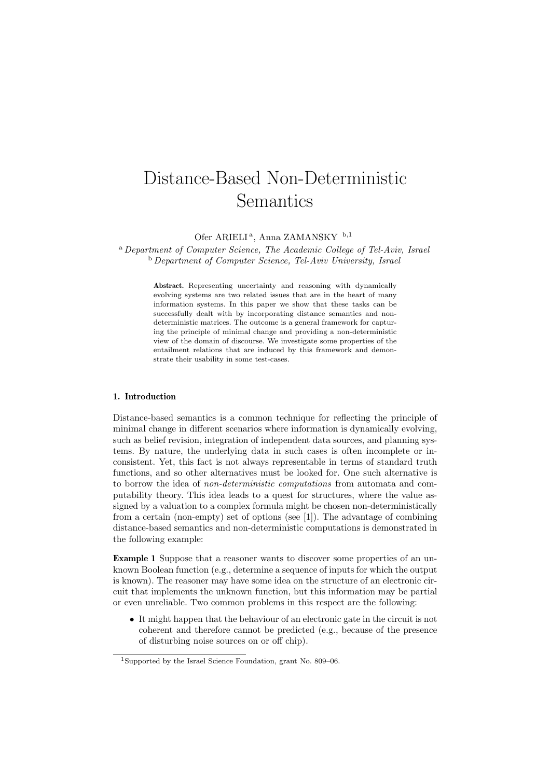# Distance-Based Non-Deterministic Semantics

Ofer ARIELI<sup>a</sup>, Anna ZAMANSKY <sup>b,1</sup>

<sup>a</sup> Department of Computer Science, The Academic College of Tel-Aviv, Israel <sup>b</sup> Department of Computer Science, Tel-Aviv University, Israel

Abstract. Representing uncertainty and reasoning with dynamically evolving systems are two related issues that are in the heart of many information systems. In this paper we show that these tasks can be successfully dealt with by incorporating distance semantics and nondeterministic matrices. The outcome is a general framework for capturing the principle of minimal change and providing a non-deterministic view of the domain of discourse. We investigate some properties of the entailment relations that are induced by this framework and demonstrate their usability in some test-cases.

## 1. Introduction

Distance-based semantics is a common technique for reflecting the principle of minimal change in different scenarios where information is dynamically evolving, such as belief revision, integration of independent data sources, and planning systems. By nature, the underlying data in such cases is often incomplete or inconsistent. Yet, this fact is not always representable in terms of standard truth functions, and so other alternatives must be looked for. One such alternative is to borrow the idea of non-deterministic computations from automata and computability theory. This idea leads to a quest for structures, where the value assigned by a valuation to a complex formula might be chosen non-deterministically from a certain (non-empty) set of options (see [1]). The advantage of combining distance-based semantics and non-deterministic computations is demonstrated in the following example:

Example 1 Suppose that a reasoner wants to discover some properties of an unknown Boolean function (e.g., determine a sequence of inputs for which the output is known). The reasoner may have some idea on the structure of an electronic circuit that implements the unknown function, but this information may be partial or even unreliable. Two common problems in this respect are the following:

• It might happen that the behaviour of an electronic gate in the circuit is not coherent and therefore cannot be predicted (e.g., because of the presence of disturbing noise sources on or off chip).

<sup>1</sup>Supported by the Israel Science Foundation, grant No. 809–06.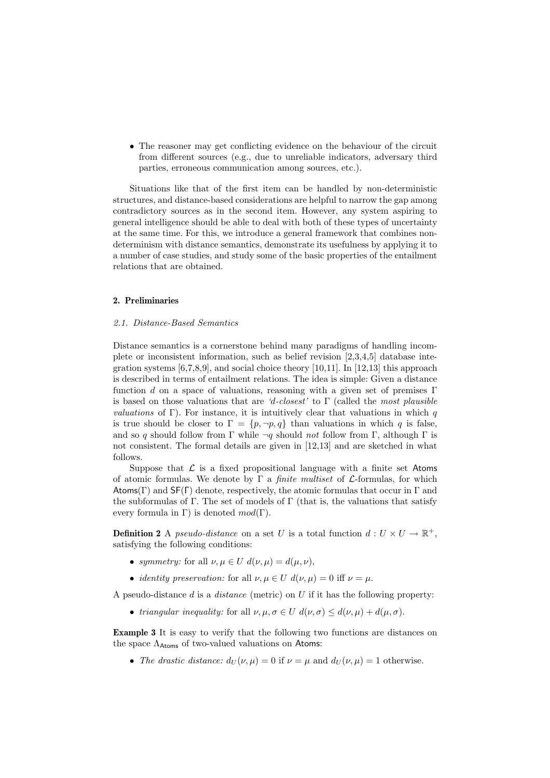• The reasoner may get conflicting evidence on the behaviour of the circuit from different sources (e.g., due to unreliable indicators, adversary third parties, erroneous communication among sources, etc.).

Situations like that of the first item can be handled by non-deterministic structures, and distance-based considerations are helpful to narrow the gap among contradictory sources as in the second item. However, any system aspiring to general intelligence should be able to deal with both of these types of uncertainty at the same time. For this, we introduce a general framework that combines nondeterminism with distance semantics, demonstrate its usefulness by applying it to a number of case studies, and study some of the basic properties of the entailment relations that are obtained.

## 2. Preliminaries

#### 2.1. Distance-Based Semantics

Distance semantics is a cornerstone behind many paradigms of handling incomplete or inconsistent information, such as belief revision [2,3,4,5] database integration systems  $[6,7,8,9]$ , and social choice theory  $[10,11]$ . In  $[12,13]$  this approach is described in terms of entailment relations. The idea is simple: Given a distance function d on a space of valuations, reasoning with a given set of premises  $\Gamma$ is based on those valuations that are 'd-closest' to  $\Gamma$  (called the most plausible *valuations* of Γ). For instance, it is intuitively clear that valuations in which  $q$ is true should be closer to  $\Gamma = \{p, \neg p, q\}$  than valuations in which q is false, and so q should follow from Γ while  $\neg q$  should not follow from Γ, although Γ is not consistent. The formal details are given in [12,13] and are sketched in what follows.

Suppose that  $\mathcal L$  is a fixed propositional language with a finite set Atoms of atomic formulas. We denote by  $\Gamma$  a *finite multiset* of  $\mathcal{L}$ -formulas, for which Atoms(Γ) and  $\mathsf{SF}(\Gamma)$  denote, respectively, the atomic formulas that occur in Γ and the subformulas of  $\Gamma$ . The set of models of  $\Gamma$  (that is, the valuations that satisfy every formula in Γ) is denoted  $mod(\Gamma)$ .

**Definition 2** A *pseudo-distance* on a set U is a total function  $d: U \times U \rightarrow \mathbb{R}^+$ , satisfying the following conditions:

- symmetry: for all  $\nu, \mu \in U$   $d(\nu, \mu) = d(\mu, \nu),$
- *identity preservation:* for all  $\nu, \mu \in U$   $d(\nu, \mu) = 0$  iff  $\nu = \mu$ .

A pseudo-distance  $d$  is a *distance* (metric) on  $U$  if it has the following property:

• triangular inequality: for all  $\nu, \mu, \sigma \in U$   $d(\nu, \sigma) \leq d(\nu, \mu) + d(\mu, \sigma)$ .

Example 3 It is easy to verify that the following two functions are distances on the space  $\Lambda_{\text{Atoms}}$  of two-valued valuations on Atoms:

• The drastic distance:  $d_U(\nu,\mu) = 0$  if  $\nu = \mu$  and  $d_U(\nu,\mu) = 1$  otherwise.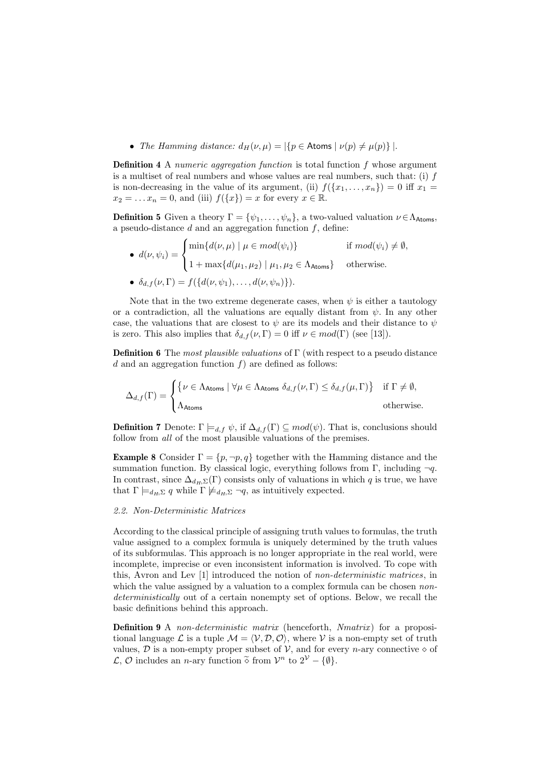• The Hamming distance:  $d_H(\nu,\mu) = |\{p \in \text{Atoms} \mid \nu(p) \neq \mu(p)\}|$ .

**Definition 4** A numeric aggregation function is total function  $f$  whose argument is a multiset of real numbers and whose values are real numbers, such that: (i)  $f$ is non-decreasing in the value of its argument, (ii)  $f({x_1, \ldots, x_n}) = 0$  iff  $x_1 =$  $x_2 = \ldots x_n = 0$ , and (iii)  $f(\lbrace x \rbrace) = x$  for every  $x \in \mathbb{R}$ .

**Definition 5** Given a theory  $\Gamma = {\psi_1, \ldots, \psi_n}$ , a two-valued valuation  $\nu \in \Lambda_{\text{Atoms}},$ a pseudo-distance  $d$  and an aggregation function  $f$ , define:  $\overline{a}$ 

\n- \n
$$
d(\nu, \psi_i) = \n\begin{cases}\n\min\{d(\nu, \mu) \mid \mu \in mod(\psi_i)\} & \text{if } mod(\psi_i) \neq \emptyset, \\
1 + \max\{d(\mu_1, \mu_2) \mid \mu_1, \mu_2 \in \Lambda_{\text{Atoms}}\} & \text{otherwise.} \\
\text{• } \delta_{d,f}(\nu, \Gamma) = f(\{d(\nu, \psi_1), \ldots, d(\nu, \psi_n)\}).\n\end{cases}
$$
\n
\n

Note that in the two extreme degenerate cases, when  $\psi$  is either a tautology or a contradiction, all the valuations are equally distant from  $\psi$ . In any other case, the valuations that are closest to  $\psi$  are its models and their distance to  $\psi$ is zero. This also implies that  $\delta_{d,f}(\nu,\Gamma) = 0$  iff  $\nu \in mod(\Gamma)$  (see [13]).

**Definition 6** The most plausible valuations of  $\Gamma$  (with respect to a pseudo distance d and an aggregation function  $f$ ) are defined as follows:

$$
\Delta_{d,f}(\Gamma) = \begin{cases} \{\nu \in \Lambda_{\text{Atoms}} \mid \forall \mu \in \Lambda_{\text{Atoms}} \ \delta_{d,f}(\nu,\Gamma) \leq \delta_{d,f}(\mu,\Gamma) \} & \text{if } \Gamma \neq \emptyset, \\ \Lambda_{\text{Atoms}} & \text{otherwise.} \end{cases}
$$

**Definition 7** Denote:  $\Gamma \models_{d,f} \psi$ , if  $\Delta_{d,f}(\Gamma) \subseteq mod(\psi)$ . That is, conclusions should follow from all of the most plausible valuations of the premises.

**Example 8** Consider  $\Gamma = \{p, \neg p, q\}$  together with the Hamming distance and the summation function. By classical logic, everything follows from Γ, including  $\neg q$ . In contrast, since  $\Delta_{d_H, \Sigma}(\Gamma)$  consists only of valuations in which q is true, we have that  $\Gamma \models_{d_H, \Sigma} q$  while  $\Gamma \not\models_{d_H, \Sigma} \neg q$ , as intuitively expected.

# 2.2. Non-Deterministic Matrices

According to the classical principle of assigning truth values to formulas, the truth value assigned to a complex formula is uniquely determined by the truth values of its subformulas. This approach is no longer appropriate in the real world, were incomplete, imprecise or even inconsistent information is involved. To cope with this, Avron and Lev [1] introduced the notion of non-deterministic matrices, in which the value assigned by a valuation to a complex formula can be chosen *non*deterministically out of a certain nonempty set of options. Below, we recall the basic definitions behind this approach.

**Definition 9** A non-deterministic matrix (henceforth, Nmatrix) for a propositional language  $\mathcal L$  is a tuple  $\mathcal M = \langle \mathcal V, \mathcal D, \mathcal O \rangle$ , where V is a non-empty set of truth values,  $\mathcal D$  is a non-empty proper subset of  $\mathcal V$ , and for every *n*-ary connective  $\diamond$  of  $\mathcal{L}, \mathcal{O}$  includes an *n*-ary function  $\tilde{\diamond}$  from  $\mathcal{V}^n$  to  $2^{\mathcal{V}} - \{\emptyset\}.$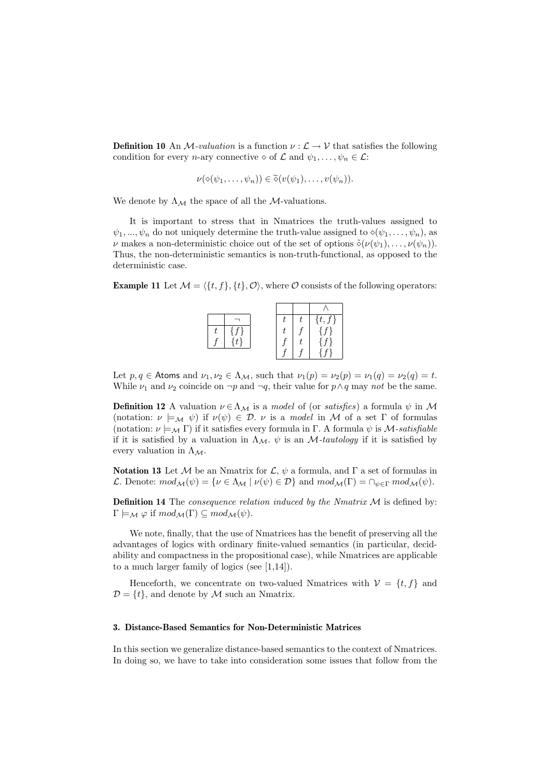**Definition 10** An *M*-valuation is a function  $\nu : \mathcal{L} \to \mathcal{V}$  that satisfies the following condition for every *n*-ary connective  $\diamond$  of  $\mathcal L$  and  $\psi_1, \ldots, \psi_n \in \mathcal L$ :

$$
\nu(\diamond(\psi_1,\ldots,\psi_n))\in\tilde{\diamond}(\nu(\psi_1),\ldots,\nu(\psi_n)).
$$

We denote by  $\Lambda_{\mathcal{M}}$  the space of all the M-valuations.

It is important to stress that in Nmatrices the truth-values assigned to  $\psi_1, ..., \psi_n$  do not uniquely determine the truth-value assigned to  $\circ(\psi_1, ..., \psi_n)$ , as  $\nu$  makes a non-deterministic choice out of the set of options  $\delta(\nu(\psi_1), \ldots, \nu(\psi_n)).$ Thus, the non-deterministic semantics is non-truth-functional, as opposed to the deterministic case.

**Example 11** Let  $\mathcal{M} = \{\{t, f\}, \{t\}, \mathcal{O}\}\$ , where  $\mathcal O$  consists of the following operators:

|  |  | $\{f\}$<br>J |
|--|--|--------------|
|  |  | $\epsilon$   |
|  |  |              |
|  |  |              |

Let  $p, q \in$  Atoms and  $\nu_1, \nu_2 \in \Lambda_{\mathcal{M}}$ , such that  $\nu_1(p) = \nu_2(p) = \nu_1(q) = \nu_2(q) = t$ . While  $\nu_1$  and  $\nu_2$  coincide on  $\neg p$  and  $\neg q$ , their value for  $p \land q$  may not be the same.

**Definition 12** A valuation  $\nu \in \Lambda_M$  is a model of (or satisfies) a formula  $\psi$  in M (notation:  $\nu \models_M \psi$ ) if  $\nu(\psi) \in \mathcal{D}$ .  $\nu$  is a model in M of a set  $\Gamma$  of formulas (notation:  $\nu \models_M \Gamma$ ) if it satisfies every formula in Γ. A formula  $\psi$  is M-satisfiable if it is satisfied by a valuation in  $\Lambda_M$ .  $\psi$  is an M-tautology if it is satisfied by every valuation in  $\Lambda_M$ .

Notation 13 Let M be an Nmatrix for  $\mathcal{L}, \psi$  a formula, and  $\Gamma$  a set of formulas in L. Denote:  $mod_{\mathcal{M}}(\psi) = {\nu \in \Lambda_{\mathcal{M}} \mid \nu(\psi) \in \mathcal{D}}$  and  $mod_{\mathcal{M}}(\Gamma) = \cap_{\psi \in \Gamma} mod_{\mathcal{M}}(\psi)$ .

**Definition 14** The *consequence relation induced by the Nmatrix M* is defined by:  $\Gamma \models_{\mathcal{M}} \varphi$  if  $mod_{\mathcal{M}}(\Gamma) \subseteq mod_{\mathcal{M}}(\psi)$ .

We note, finally, that the use of Nmatrices has the benefit of preserving all the advantages of logics with ordinary finite-valued semantics (in particular, decidability and compactness in the propositional case), while Nmatrices are applicable to a much larger family of logics (see [1,14]).

Henceforth, we concentrate on two-valued Nmatrices with  $V = \{t, f\}$  and  $\mathcal{D} = \{t\}$ , and denote by M such an Nmatrix.

#### 3. Distance-Based Semantics for Non-Deterministic Matrices

In this section we generalize distance-based semantics to the context of Nmatrices. In doing so, we have to take into consideration some issues that follow from the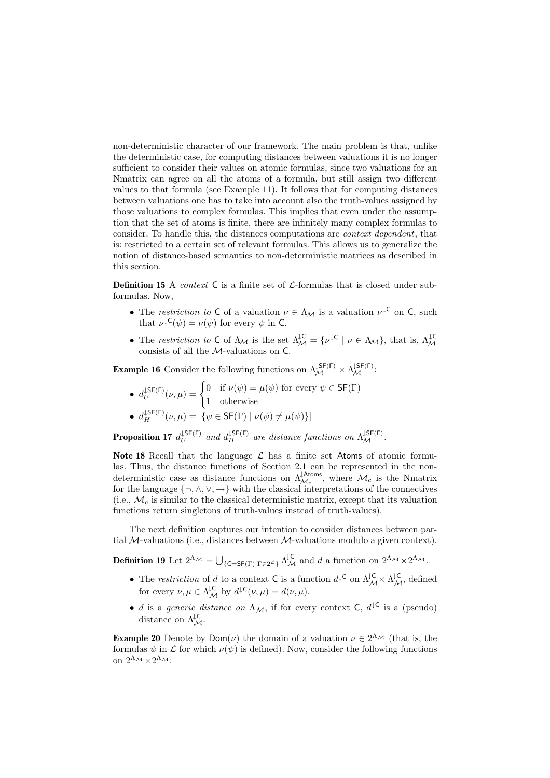non-deterministic character of our framework. The main problem is that, unlike the deterministic case, for computing distances between valuations it is no longer sufficient to consider their values on atomic formulas, since two valuations for an Nmatrix can agree on all the atoms of a formula, but still assign two different values to that formula (see Example 11). It follows that for computing distances between valuations one has to take into account also the truth-values assigned by those valuations to complex formulas. This implies that even under the assumption that the set of atoms is finite, there are infinitely many complex formulas to consider. To handle this, the distances computations are context dependent, that is: restricted to a certain set of relevant formulas. This allows us to generalize the notion of distance-based semantics to non-deterministic matrices as described in this section.

**Definition 15** A *context* C is a finite set of  $\mathcal{L}$ -formulas that is closed under subformulas. Now,

- The restriction to C of a valuation  $\nu \in \Lambda_{\mathcal{M}}$  is a valuation  $\nu^{\downarrow}$ C on C, such that  $\nu^{\downarrow c}(\psi) = \nu(\psi)$  for every  $\psi$  in C.
- The restriction to C of  $\Lambda_M$  is the set  $\Lambda_M^{\downarrow \mathsf{C}} = \{ \nu^{\downarrow \mathsf{C}} \mid \nu \in \Lambda_M \}$ , that is,  $\Lambda_M^{\downarrow \mathsf{C}}$  consists of all the *M*-valuations on C.

**Example 16** Consider the following functions on  $\Lambda_{\mathcal{M}}^{(\mathsf{SFT})} \times \Lambda_{\mathcal{M}}^{(\mathsf{SFT})}$ :

\n- \n
$$
d_U^{\downarrow \mathsf{SF}(\Gamma)}(\nu, \mu) =\n \begin{cases}\n 0 & \text{if } \nu(\psi) = \mu(\psi) \text{ for every } \psi \in \mathsf{SF}(\Gamma) \\
 1 & \text{otherwise}\n \end{cases}
$$
\n
\n- \n
$$
d_H^{\downarrow \mathsf{SF}(\Gamma)}(\nu, \mu) = |\{\psi \in \mathsf{SF}(\Gamma) \mid \nu(\psi) \neq \mu(\psi)\}|
$$
\n
\n

**Proposition 17**  $d_{II}^{\downarrow \mathsf{SF}(\mathsf{\Gamma})}$  $\downarrow^{\mathsf{S}\mathsf{F}(\mathsf{\Gamma})}$  and  $d_H^{\mathsf{L}\mathsf{S}\mathsf{F}(\mathsf{\Gamma})}$  are distance functions on  $\Lambda_{\mathcal{M}}^{\mathsf{L}\mathsf{S}\mathsf{F}(\mathsf{\Gamma})}$ .

Note 18 Recall that the language  $\mathcal L$  has a finite set Atoms of atomic formulas. Thus, the distance functions of Section 2.1 can be represented in the nondeterministic case as distance functions on  $\Lambda_{\mathcal{M}_c}^{\downarrow \text{Atoms}}$ , where  $\mathcal{M}_c$  is the Nmatrix for the language  $\{\neg, \wedge, \vee, \rightarrow\}$  with the classical interpretations of the connectives (i.e.,  $\mathcal{M}_c$  is similar to the classical deterministic matrix, except that its valuation functions return singletons of truth-values instead of truth-values).

The next definition captures our intention to consider distances between partial  $M$ -valuations (i.e., distances between  $M$ -valuations modulo a given context).

**Definition 19** Let  $2^{\Lambda_{\mathcal{M}}} = \bigcup_{\{C = \mathsf{SF}(\Gamma) | \Gamma \in 2^{\mathcal{L}}\}} \Lambda_{\mathcal{M}}^{\mathcal{L}}$  and d a function on  $2^{\Lambda_{\mathcal{M}}} \times 2^{\Lambda_{\mathcal{M}}}$ .

- The restriction of d to a context C is a function  $d^{\downarrow c}$  on  $\Lambda_{\mathcal{M}}^{\downarrow c} \times \Lambda_{\mathcal{M}}^{\downarrow c}$ , defined for every  $\nu, \mu \in \Lambda_{\mathcal{M}}^{\mathcal{L}}$  by  $d^{\mathcal{L}}(\nu, \mu) = d(\nu, \mu)$ .
- d is a generic distance on  $\Lambda_M$ , if for every context C,  $d^{\downarrow C}$  is a (pseudo) distance on  $\Lambda_{\mathcal{M}}^{\mathcal{C}}$ .

**Example 20** Denote by  $\text{Dom}(\nu)$  the domain of a valuation  $\nu \in 2^{\Lambda_{\mathcal{M}}}$  (that is, the formulas  $\psi$  in  $\mathcal L$  for which  $\nu(\psi)$  is defined). Now, consider the following functions on  $2^{\Lambda_{\mathcal{M}}} \times 2^{\Lambda_{\mathcal{M}}}$ :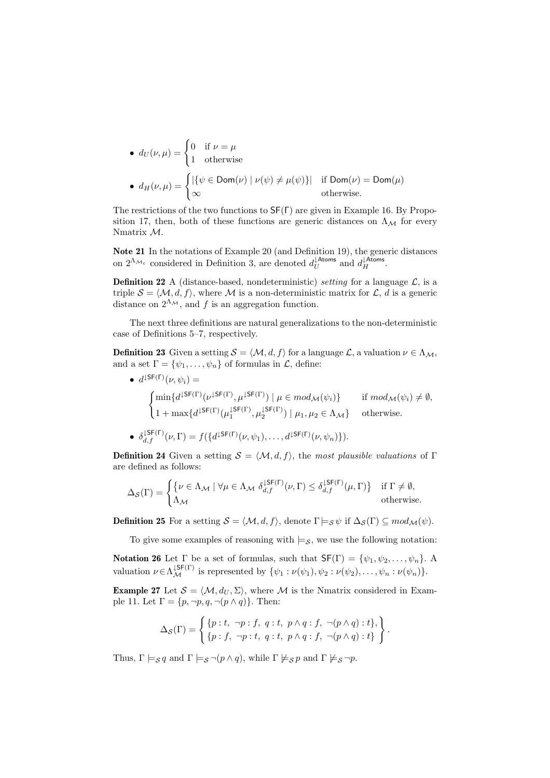\n- \n
$$
d_U(\nu, \mu) =\n \begin{cases}\n 0 & \text{if } \nu = \mu \\
 1 & \text{otherwise}\n \end{cases}
$$
\n
\n- \n
$$
d_H(\nu, \mu) =\n \begin{cases}\n |\{\psi \in \text{Dom}(\nu) \mid \nu(\psi) \neq \mu(\psi)\}| & \text{if } \text{Dom}(\nu) = \text{Dom}(\mu) \\
 \infty & \text{otherwise.}\n \end{cases}
$$
\n
\n

The restrictions of the two functions to SF(Γ) are given in Example 16. By Proposition 17, then, both of these functions are generic distances on  $\Lambda_{\mathcal{M}}$  for every Nmatrix M.

Note 21 In the notations of Example 20 (and Definition 19), the generic distances on  $2^{\Lambda_{\mathcal{M}_c}}$  considered in Definition 3, are denoted  $d_U^{\downarrow \text{Atoms}}$  and  $d_H^{\downarrow \text{Atoms}}$ .

**Definition 22** A (distance-based, nondeterministic) setting for a language  $\mathcal{L}$ , is a triple  $S = \langle M, d, f \rangle$ , where M is a non-deterministic matrix for L, d is a generic distance on  $2^{\Lambda_{\mathcal{M}}}$ , and f is an aggregation function.

The next three definitions are natural generalizations to the non-deterministic case of Definitions 5–7, respectively.

**Definition 23** Given a setting  $S = \langle M, d, f \rangle$  for a language  $\mathcal{L}$ , a valuation  $\nu \in \Lambda_M$ , and a set  $\Gamma = {\psi_1, \ldots, \psi_n}$  of formulas in  $\mathcal{L}$ , define:

 $\bullet$   $d^{\downarrow \mathsf{SF}(\mathsf{\Gamma})}(\nu, \psi_i) =$  $\overline{\phantom{a}}$  $\min\{d^{\downarrow \mathsf{SF}(\Gamma)}(\nu^{\downarrow \mathsf{SF}(\Gamma)},\mu^{\downarrow \mathsf{SF}(\Gamma)}) \mid \mu \in mod_{\mathcal{M}}(\psi_i)\}$  if  $mod_{\mathcal{M}}(\psi_i) \neq \emptyset$ ,  $1 + \max\{d^{\downarrow \mathsf{SF}(\Gamma)}(\mu_1^{\downarrow \mathsf{SF}(\Gamma)}, \mu_2^{\downarrow \mathsf{SF}(\Gamma)}) \mid \mu_1, \mu_2 \in \Lambda_{\mathcal{M}}\}$  otherwise. •  $\delta_{d,f}^{\downarrow \mathsf{S}\mathsf{F}(\mathsf{\Gamma})}(\nu,\Gamma) = f(\{d^{\downarrow \mathsf{S}\mathsf{F}(\mathsf{\Gamma})}(\nu,\psi_1),\ldots,d^{\downarrow \mathsf{S}\mathsf{F}(\mathsf{\Gamma})}(\nu,\psi_n)\}).$ 

**Definition 24** Given a setting  $S = \langle M, d, f \rangle$ , the most plausible valuations of Γ are defined as follows:

$$
\Delta_{\mathcal{S}}(\Gamma) = \begin{cases} \{ \nu \in \Lambda_{\mathcal{M}} \mid \forall \mu \in \Lambda_{\mathcal{M}} \; \delta_{d,f}^{\text{JSF}(\Gamma)}(\nu, \Gamma) \leq \delta_{d,f}^{\text{JSF}(\Gamma)}(\mu, \Gamma) \} & \text{if } \Gamma \neq \emptyset, \\ \Lambda_{\mathcal{M}} & \text{otherwise.} \end{cases}
$$

**Definition 25** For a setting  $S = \langle M, d, f \rangle$ , denote  $\Gamma \models_S \psi$  if  $\Delta_S(\Gamma) \subseteq mod_M(\psi)$ .

To give some examples of reasoning with  $\models s$ , we use the following notation:

Notation 26 Let  $\Gamma$  be a set of formulas, such that  $\mathsf{SF}(\Gamma) = \{\psi_1, \psi_2, \dots, \psi_n\}.$  A valuation  $\nu \in \Lambda_{\mathcal{M}}^{\downarrow \mathsf{SF}(\Gamma)}$  is represented by  $\{\psi_1 : \nu(\psi_1), \psi_2 : \nu(\psi_2), \dots, \psi_n : \nu(\psi_n)\}.$ 

**Example 27** Let  $S = \langle M, d_U, \Sigma \rangle$ , where M is the Nmatrix considered in Example 11. Let  $\Gamma = \{p, \neg p, q, \neg (p \wedge q)\}\.$  Then:

$$
\Delta_{\mathcal{S}}(\Gamma)=\left\{\begin{matrix} \{p:t, \ \neg p: f, \ q:t, \ p\wedge q: f, \ \neg(p\wedge q): t\}, \\ \{p: f, \ \neg p: t, \ q:t, \ p\wedge q: f, \ \neg(p\wedge q): t\}\end{matrix}\right\}.
$$

Thus,  $\Gamma \models_{\mathcal{S}} q$  and  $\Gamma \models_{\mathcal{S}} \neg (p \land q)$ , while  $\Gamma \not\models_{\mathcal{S}} p$  and  $\Gamma \not\models_{\mathcal{S}} \neg p$ .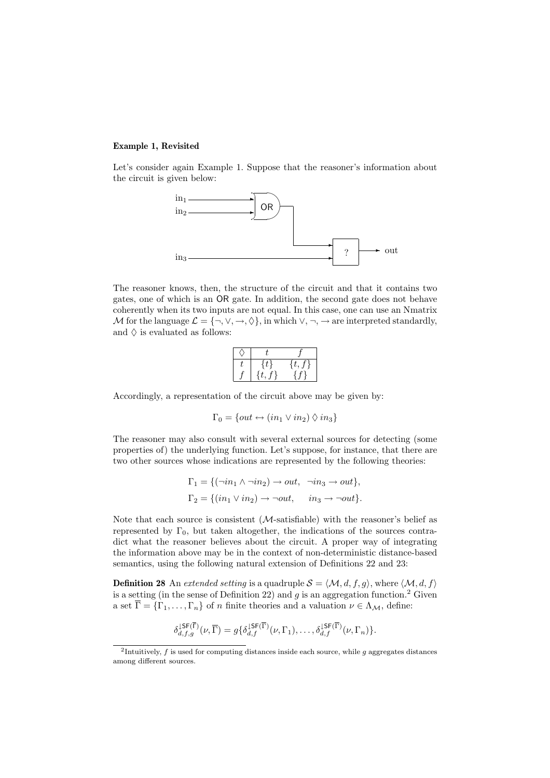# Example 1, Revisited

Let's consider again Example 1. Suppose that the reasoner's information about the circuit is given below:



The reasoner knows, then, the structure of the circuit and that it contains two gates, one of which is an OR gate. In addition, the second gate does not behave coherently when its two inputs are not equal. In this case, one can use an Nmatrix M for the language  $\mathcal{L} = \{\neg, \vee, \rightarrow, \Diamond\}$ , in which  $\vee, \neg, \rightarrow$  are interpreted standardly, and  $\Diamond$  is evaluated as follows:

Accordingly, a representation of the circuit above may be given by:

$$
\Gamma_0 = \{out \leftrightarrow (in_1 \vee in_2) \Diamond in_3\}
$$

The reasoner may also consult with several external sources for detecting (some properties of) the underlying function. Let's suppose, for instance, that there are two other sources whose indications are represented by the following theories:

$$
\Gamma_1 = \{ (\neg in_1 \land \neg in_2) \to out, \neg in_3 \to out \},
$$
  

$$
\Gamma_2 = \{ (in_1 \lor in_2) \to \neg out, \quad in_3 \to \neg out \}.
$$

Note that each source is consistent (M-satisfiable) with the reasoner's belief as represented by  $\Gamma_0$ , but taken altogether, the indications of the sources contradict what the reasoner believes about the circuit. A proper way of integrating the information above may be in the context of non-deterministic distance-based semantics, using the following natural extension of Definitions 22 and 23:

**Definition 28** An extended setting is a quadruple  $S = \langle M, d, f, g \rangle$ , where  $\langle M, d, f \rangle$ is a setting (in the sense of Definition 22) and  $g$  is an aggregation function.<sup>2</sup> Given a set  $\overline{\Gamma} = {\Gamma_1, \ldots, \Gamma_n}$  of *n* finite theories and a valuation  $\nu \in \Lambda_{\mathcal{M}}$ , define:

$$
\delta_{d,f,g}^{\downarrow \mathsf{SF}(\overline{\Gamma})}(\nu,\overline{\Gamma}) = g\{\delta_{d,f}^{\downarrow \mathsf{SF}(\overline{\Gamma})}(\nu,\Gamma_1),\ldots,\delta_{d,f}^{\downarrow \mathsf{SF}(\overline{\Gamma})}(\nu,\Gamma_n)\}.
$$

<sup>&</sup>lt;sup>2</sup>Intuitively, f is used for computing distances inside each source, while g aggregates distances among different sources.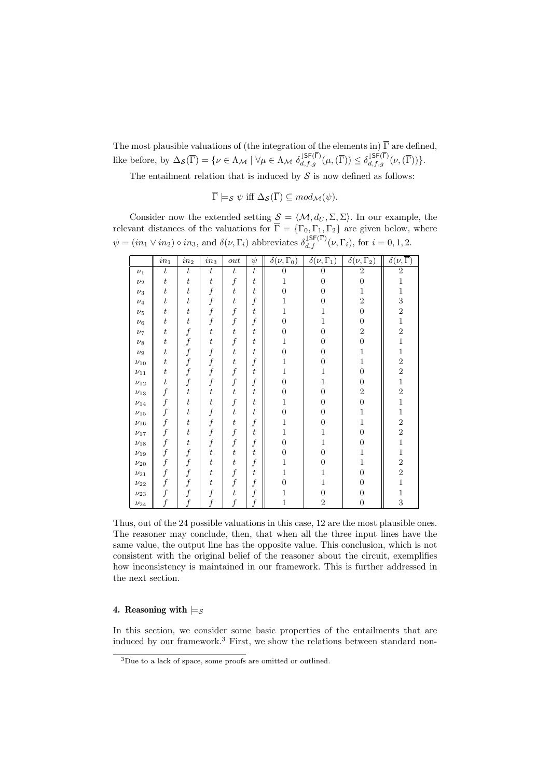The most plausible valuations of (the integration of the elements in)  $\overline{\Gamma}$  are defined, like before, by  $\Delta_{\mathcal{S}}(\overline{\Gamma}) = \{ \nu \in \Lambda_{\mathcal{M}} \mid \forall \mu \in \Lambda_{\mathcal{M}} \, \delta_{d,f,g}^{\downarrow \mathsf{SF}(\Gamma)}(\mu, (\overline{\Gamma})) \leq \delta_{d,f,g}^{\downarrow \mathsf{SF}(\Gamma)}(\nu, (\overline{\Gamma})) \}.$ 

The entailment relation that is induced by  $S$  is now defined as follows:

 $\overline{\Gamma} \models_{\mathcal{S}} \psi \text{ iff } \Delta_{\mathcal{S}}(\overline{\Gamma}) \subseteq mod_{\mathcal{M}}(\psi).$ 

Consider now the extended setting  $S = \langle M, d_U, \Sigma, \Sigma \rangle$ . In our example, the relevant distances of the valuations for  $\overline{\Gamma} = {\{\Gamma_0, \Gamma_1, \Gamma_2\}}$  are given below, where  $\psi = (in_1 \vee in_2) \diamond in_3$ , and  $\delta(\nu, \Gamma_i)$  abbreviates  $\delta_{d,f}^{\text{LSF}(\overline{\Gamma})}(\nu, \Gamma_i)$ , for  $i = 0, 1, 2$ .

|            | $in_1$           | $\operatorname{in}_2$ | $\it in_3$       | out              | $\psi$           | $\overline{\delta(\nu,\Gamma_0)}$ | $\overline{\delta(\nu,\Gamma_1)}$ | $\overline{\delta(\nu,\Gamma_2)}$ | $\overline{\delta(\nu,\overline{\Gamma})}$       |
|------------|------------------|-----------------------|------------------|------------------|------------------|-----------------------------------|-----------------------------------|-----------------------------------|--------------------------------------------------|
| $\nu_1$    | $\boldsymbol{t}$ | $\boldsymbol{t}$      | $\boldsymbol{t}$ | $\boldsymbol{t}$ | $\boldsymbol{t}$ | $\overline{0}$                    | $\overline{0}$                    | $\overline{2}$                    | $\overline{2}$                                   |
| $\nu_2$    | $\boldsymbol{t}$ | $\scriptstyle t$      | $\scriptstyle t$ | $\boldsymbol{f}$ | $\boldsymbol{t}$ | 1                                 | $\overline{0}$                    | $\overline{0}$                    | $\mathbf{1}$                                     |
| $\nu_3$    | $\boldsymbol{t}$ | $\scriptstyle t$      | $\boldsymbol{f}$ | $\boldsymbol{t}$ | $\scriptstyle t$ | $\boldsymbol{0}$                  | $\boldsymbol{0}$                  | $\mathbf{1}$                      | $\mathbf{1}$                                     |
| $\nu_4$    | $\boldsymbol{t}$ | $\scriptstyle t$      | $\boldsymbol{f}$ | $\boldsymbol{t}$ | $\boldsymbol{f}$ | 1                                 | 0                                 | $\overline{2}$                    |                                                  |
| $\nu_5$    | $\boldsymbol{t}$ | $\scriptstyle t$      | $\boldsymbol{f}$ |                  | $\bar{t}$        | 1                                 | 1                                 | $\overline{0}$                    |                                                  |
| $\nu_6$    | $\boldsymbol{t}$ | $\scriptstyle t$      | $\boldsymbol{f}$ | f                | $\boldsymbol{f}$ | $\overline{0}$                    | 1                                 | $\overline{0}$                    |                                                  |
| $\nu_7$    | $\boldsymbol{t}$ | $\boldsymbol{f}$      | $\boldsymbol{t}$ | $\bar{t}$        | $\boldsymbol{t}$ | $\boldsymbol{0}$                  | $\boldsymbol{0}$                  | $\overline{2}$                    | $\begin{array}{c} 3\\ 2\\ 1\\ 2\\ 1 \end{array}$ |
| $\nu_8$    | $\boldsymbol{t}$ | $\boldsymbol{f}$      | $\scriptstyle t$ |                  | $\scriptstyle t$ | 1                                 | $\overline{0}$                    | $\overline{0}$                    |                                                  |
| $\nu_9$    | $\boldsymbol{t}$ | $\boldsymbol{f}$      | $\boldsymbol{f}$ | $\boldsymbol{t}$ | t                | $\overline{0}$                    | 0                                 | $\mathbf{1}$                      | $\mathbf{1}$                                     |
| $\nu_{10}$ | $\boldsymbol{t}$ |                       | $\boldsymbol{f}$ | t                | $\boldsymbol{f}$ | $\mathbf 1$                       | $\boldsymbol{0}$                  | $\mathbf 1$                       | $\begin{array}{c} 2\\ 2\\ 1\\ 2\\ 1 \end{array}$ |
| $\nu_{11}$ | $\boldsymbol{t}$ |                       | $\boldsymbol{f}$ |                  | $\scriptstyle t$ | 1                                 | 1                                 | $\overline{0}$                    |                                                  |
| $\nu_{12}$ | $\boldsymbol{t}$ | $\boldsymbol{f}$      | $\boldsymbol{f}$ |                  | $\boldsymbol{f}$ | $\boldsymbol{0}$                  | 1                                 | 0                                 |                                                  |
| $\nu_{13}$ | $\boldsymbol{f}$ | $\scriptstyle t$      | $\boldsymbol{t}$ | t                | $\boldsymbol{t}$ | $\boldsymbol{0}$                  | $\overline{0}$                    | $\overline{2}$                    |                                                  |
| $\nu_{14}$ | $\boldsymbol{f}$ | $\scriptstyle t$      | $\scriptstyle t$ | f                | $\scriptstyle t$ | 1                                 | $\boldsymbol{0}$                  | $\boldsymbol{0}$                  |                                                  |
| $\nu_{15}$ | $\boldsymbol{f}$ | $\scriptstyle t$      | $\boldsymbol{f}$ | $\boldsymbol{t}$ | t                | $\overline{0}$                    | $\overline{0}$                    | 1                                 | $\mathbf{1}$                                     |
| $\nu_{16}$ | $\boldsymbol{f}$ | $\scriptstyle t$      | $\boldsymbol{f}$ | t                | $\boldsymbol{f}$ | 1                                 | $\boldsymbol{0}$                  | 1                                 | $\begin{smallmatrix}2\\2\\1\end{smallmatrix}$    |
| $\nu_{17}$ | $\boldsymbol{f}$ | $\scriptstyle t$      | $\boldsymbol{f}$ | $\boldsymbol{f}$ | $\scriptstyle t$ | 1                                 | 1                                 | $\overline{0}$                    |                                                  |
| $\nu_{18}$ | $\boldsymbol{f}$ | $\boldsymbol{t}$      | $\boldsymbol{f}$ | $\boldsymbol{f}$ | $\boldsymbol{f}$ | $\overline{0}$                    | 1                                 | $\overline{0}$                    |                                                  |
| $\nu_{19}$ | $\boldsymbol{f}$ | $\boldsymbol{f}$      | $\boldsymbol{t}$ | $\bar{t}$        | t                | $\overline{0}$                    | $\overline{0}$                    | 1                                 | $\mathbf 1$                                      |
| $\nu_{20}$ | $\boldsymbol{f}$ | $\boldsymbol{f}$      | $\boldsymbol{t}$ | $\boldsymbol{t}$ | $\boldsymbol{f}$ | 1                                 | $\overline{0}$                    | $\mathbf 1$                       |                                                  |
| $\nu_{21}$ | $\boldsymbol{f}$ |                       | $\scriptstyle t$ |                  | t                | 1                                 | 1                                 | $\overline{0}$                    | $\begin{array}{c} 2 \\ 2 \\ 1 \end{array}$       |
| $\nu_{22}$ | $\boldsymbol{f}$ | $\boldsymbol{f}$      | $\boldsymbol{t}$ | $\boldsymbol{f}$ | $\boldsymbol{f}$ | $\boldsymbol{0}$                  | 1                                 | 0                                 |                                                  |
| $\nu_{23}$ | $\boldsymbol{f}$ |                       |                  | t                | $\boldsymbol{f}$ | 1                                 | $\overline{0}$                    | 0                                 | $\frac{1}{3}$                                    |
| $\nu_{24}$ |                  |                       |                  |                  | $\boldsymbol{f}$ | $\mathbf{1}$                      | $\overline{2}$                    | $\overline{0}$                    |                                                  |

Thus, out of the 24 possible valuations in this case, 12 are the most plausible ones. The reasoner may conclude, then, that when all the three input lines have the same value, the output line has the opposite value. This conclusion, which is not consistent with the original belief of the reasoner about the circuit, exemplifies how inconsistency is maintained in our framework. This is further addressed in the next section.

# 4. Reasoning with  $\models$  s

In this section, we consider some basic properties of the entailments that are induced by our framework.<sup>3</sup> First, we show the relations between standard non-

<sup>&</sup>lt;sup>3</sup>Due to a lack of space, some proofs are omitted or outlined.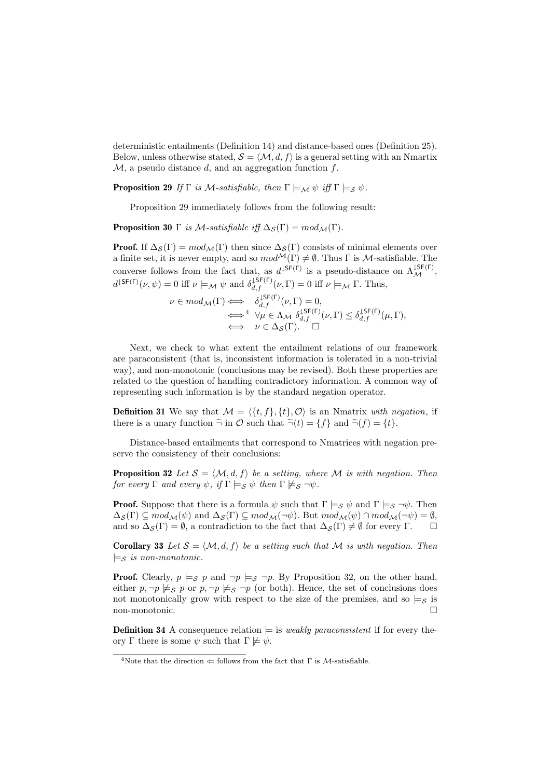deterministic entailments (Definition 14) and distance-based ones (Definition 25). Below, unless otherwise stated,  $S = \langle M, d, f \rangle$  is a general setting with an Nmartix  $M$ , a pseudo distance d, and an aggregation function f.

**Proposition 29** If  $\Gamma$  is M-satisfiable, then  $\Gamma \models_M \psi$  iff  $\Gamma \models_S \psi$ .

Proposition 29 immediately follows from the following result:

**Proposition 30** Γ is M-satisfiable iff  $\Delta_{\mathcal{S}}(\Gamma) = mod_{\mathcal{M}}(\Gamma)$ .

**Proof.** If  $\Delta_{\mathcal{S}}(\Gamma) = mod_{\mathcal{M}}(\Gamma)$  then since  $\Delta_{\mathcal{S}}(\Gamma)$  consists of minimal elements over a finite set, it is never empty, and so  $mod^{\mathcal{M}}(\Gamma) \neq \emptyset$ . Thus  $\Gamma$  is  $\mathcal{M}$ -satisfiable. The converse follows from the fact that, as  $d^{\downarrow$ SF(Γ) is a pseudo-distance on  $\Lambda_{\mathcal{M}}^{\downarrow$ SF(Γ),  $d^{\downarrow \mathsf{SF}(\Gamma)}(\nu, \psi) = 0$  iff  $\nu \models_{\mathcal{M}} \psi$  and  $\delta_{d,f}^{\downarrow \mathsf{SF}(\Gamma)}(\nu, \Gamma) = 0$  iff  $\nu \models_{\mathcal{M}} \Gamma$ . Thus,

$$
\nu \in mod_{\mathcal{M}}(\Gamma) \Longleftrightarrow \begin{array}{c} \delta_{d,f}^{L\mathsf{SF}(\Gamma)}(\nu,\Gamma) = 0, \\ \Longleftrightarrow^4 \forall \mu \in \Lambda_{\mathcal{M}} \ \delta_{d,f}^{L\mathsf{SF}(\Gamma)}(\nu,\Gamma) \leq \delta_{d,f}^{L\mathsf{SF}(\Gamma)}(\mu,\Gamma), \\ \Longleftrightarrow \nu \in \Delta_{\mathcal{S}}(\Gamma). \quad \Box \end{array}
$$

Next, we check to what extent the entailment relations of our framework are paraconsistent (that is, inconsistent information is tolerated in a non-trivial way), and non-monotonic (conclusions may be revised). Both these properties are related to the question of handling contradictory information. A common way of representing such information is by the standard negation operator.

**Definition 31** We say that  $\mathcal{M} = \langle \{t, f\}, \{t\}, \mathcal{O} \rangle$  is an Nmatrix with negation, if there is a unary function  $\tilde{\neg}$  in  $\mathcal O$  such that  $\tilde{\neg}(t) = \{f\}$  and  $\tilde{\neg}(f) = \{t\}.$ 

Distance-based entailments that correspond to Nmatrices with negation preserve the consistency of their conclusions:

**Proposition 32** Let  $S = \langle M, d, f \rangle$  be a setting, where M is with negation. Then for every  $\Gamma$  and every  $\psi$ , if  $\Gamma \models_S \psi$  then  $\Gamma \not\models_S \neg \psi$ .

**Proof.** Suppose that there is a formula  $\psi$  such that  $\Gamma \models_S \psi$  and  $\Gamma \models_S \neg \psi$ . Then  $\Delta_{\mathcal{S}}(\Gamma) \subseteq mod_{\mathcal{M}}(\psi)$  and  $\Delta_{\mathcal{S}}(\Gamma) \subseteq mod_{\mathcal{M}}(\neg \psi)$ . But  $mod_{\mathcal{M}}(\psi) \cap mod_{\mathcal{M}}(\neg \psi) = \emptyset$ , and so  $\Delta_S(\Gamma) = \emptyset$ , a contradiction to the fact that  $\Delta_S(\Gamma) \neq \emptyset$  for every  $\Gamma$ .  $\Box$ 

**Corollary 33** Let  $S = \langle M, d, f \rangle$  be a setting such that M is with negation. Then  $\models$ s is non-monotonic.

**Proof.** Clearly,  $p \models_{\mathcal{S}} p$  and  $\neg p \models_{\mathcal{S}} \neg p$ . By Proposition 32, on the other hand, either  $p, \neg p \not\models_{\mathcal{S}} p$  or  $p, \neg p \not\models_{\mathcal{S}} \neg p$  (or both). Hence, the set of conclusions does not monotonically grow with respect to the size of the premises, and so  $\models$ s is non-monotonic.  $\square$ 

**Definition 34** A consequence relation  $\models$  is *weakly paraconsistent* if for every theory Γ there is some  $\psi$  such that  $\Gamma \not\models \psi$ .

<sup>&</sup>lt;sup>4</sup>Note that the direction  $\Leftarrow$  follows from the fact that  $\Gamma$  is *M*-satisfiable.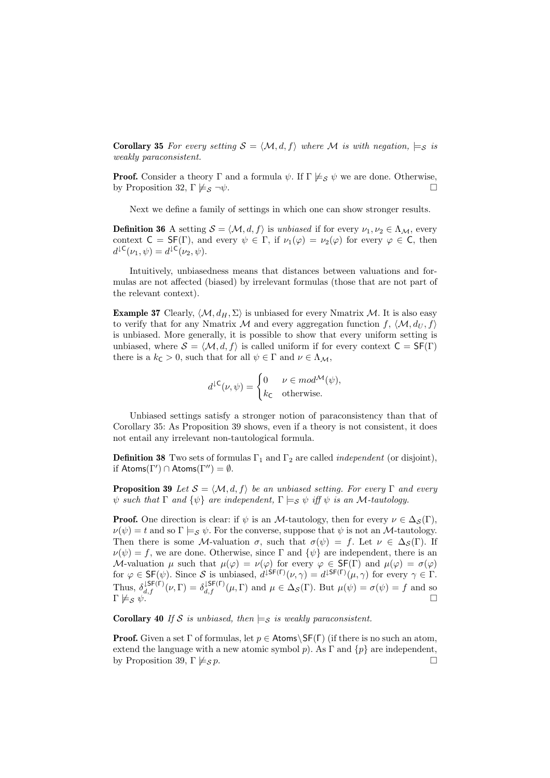**Corollary 35** For every setting  $S = \langle M, d, f \rangle$  where M is with negation,  $\models_S$  is weakly paraconsistent.

**Proof.** Consider a theory Γ and a formula  $\psi$ . If  $\Gamma \not\models_{\mathcal{S}} \psi$  we are done. Otherwise, by Proposition 32,  $\Gamma \not\models s \neg \psi$ .

Next we define a family of settings in which one can show stronger results.

**Definition 36** A setting  $S = \langle M, d, f \rangle$  is unbiased if for every  $\nu_1, \nu_2 \in \Lambda_M$ , every context  $C = SF(\Gamma)$ , and every  $\psi \in \Gamma$ , if  $\nu_1(\varphi) = \nu_2(\varphi)$  for every  $\varphi \in C$ , then  $d^{\downarrow \mathsf{C}}(\nu_1,\psi) = d^{\downarrow \mathsf{C}}(\nu_2,\psi).$ 

Intuitively, unbiasedness means that distances between valuations and formulas are not affected (biased) by irrelevant formulas (those that are not part of the relevant context).

**Example 37** Clearly,  $\langle M, d_H, \Sigma \rangle$  is unbiased for every Nmatrix M. It is also easy to verify that for any Nmatrix M and every aggregation function  $f, \langle M, d_U, f \rangle$ is unbiased. More generally, it is possible to show that every uniform setting is unbiased, where  $S = \langle M, d, f \rangle$  is called uniform if for every context  $C = SF(\Gamma)$ there is a  $k_{\mathsf{C}} > 0$ , such that for all  $\psi \in \Gamma$  and  $\nu \in \Lambda_{\mathcal{M}}$ ,

$$
d^{\downarrow \mathsf{C}}(\nu, \psi) = \begin{cases} 0 & \nu \in \mathit{mod}^{\mathcal{M}}(\psi), \\ k_{\mathsf{C}} & \text{otherwise.} \end{cases}
$$

Unbiased settings satisfy a stronger notion of paraconsistency than that of Corollary 35: As Proposition 39 shows, even if a theory is not consistent, it does not entail any irrelevant non-tautological formula.

**Definition 38** Two sets of formulas  $\Gamma_1$  and  $\Gamma_2$  are called *independent* (or disjoint), if  $\mathsf{Atoms}(\Gamma') \cap \mathsf{Atoms}(\Gamma'') = \emptyset.$ 

**Proposition 39** Let  $S = \langle M, d, f \rangle$  be an unbiased setting. For every Γ and every  $\psi$  such that  $\Gamma$  and  $\{\psi\}$  are independent,  $\Gamma \models_S \psi$  iff  $\psi$  is an M-tautology.

**Proof.** One direction is clear: if  $\psi$  is an *M*-tautology, then for every  $\nu \in \Delta_S(\Gamma)$ ,  $\nu(\psi) = t$  and so  $\Gamma \models_S \psi$ . For the converse, suppose that  $\psi$  is not an *M*-tautology. Then there is some M-valuation  $\sigma$ , such that  $\sigma(\psi) = f$ . Let  $\nu \in \Delta_S(\Gamma)$ . If  $\nu(\psi) = f$ , we are done. Otherwise, since Γ and  $\{\psi\}$  are independent, there is an M-valuation  $\mu$  such that  $\mu(\varphi) = \nu(\varphi)$  for every  $\varphi \in \mathsf{SF}(\Gamma)$  and  $\mu(\varphi) = \sigma(\varphi)$ for  $\varphi \in \mathsf{SF}(\psi)$ . Since S is unbiased,  $d^{\mathsf{LSF}(\Gamma)}(\nu, \gamma) = d^{\mathsf{LSF}(\Gamma)}(\mu, \gamma)$  for every  $\gamma \in \Gamma$ . Thus,  $\delta_{d,f}^{\downarrow \mathsf{SF}(\Gamma)}(\nu, \Gamma) = \delta_{d,f}^{\downarrow \mathsf{SF}(\Gamma)}(\mu, \Gamma)$  and  $\mu \in \Delta_{\mathcal{S}}(\Gamma)$ . But  $\mu(\psi) = \sigma(\psi) = f$  and so  $\Gamma \not\models_{\mathcal{S}} \psi$ .

**Corollary 40** If S is unbiased, then  $\models$  s is weakly paraconsistent.

**Proof.** Given a set Γ of formulas, let  $p \in$  Atoms\SF(Γ) (if there is no such an atom, extend the language with a new atomic symbol p). As  $\Gamma$  and  $\{p\}$  are independent, by Proposition 39,  $\Gamma \not\models_{\mathcal{S}} p$ .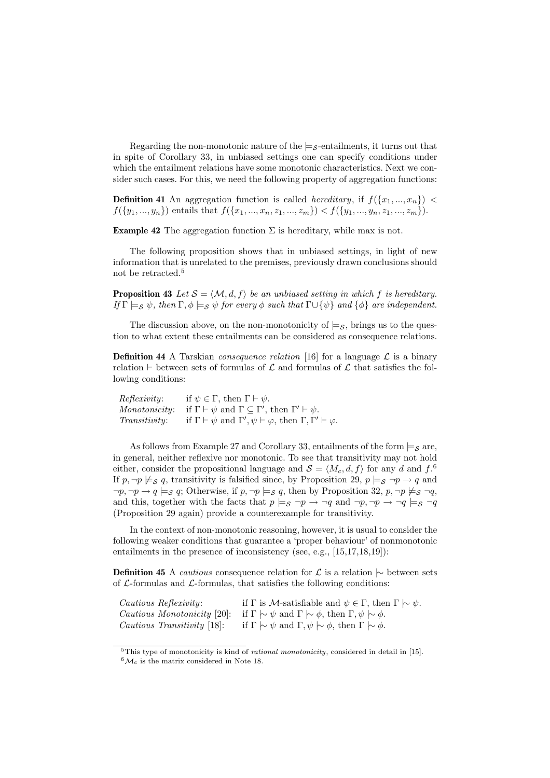Regarding the non-monotonic nature of the  $\models$ <sub>S</sub>-entailments, it turns out that in spite of Corollary 33, in unbiased settings one can specify conditions under which the entailment relations have some monotonic characteristics. Next we consider such cases. For this, we need the following property of aggregation functions:

**Definition 41** An aggregation function is called *hereditary*, if  $f(\lbrace x_1, ..., x_n \rbrace)$  <  $f({y_1,..., y_n})$  entails that  $f({x_1,..., x_n, z_1,..., z_m}) < f({y_1,..., y_n, z_1,..., z_m}).$ 

**Example 42** The aggregation function  $\Sigma$  is hereditary, while max is not.

The following proposition shows that in unbiased settings, in light of new information that is unrelated to the premises, previously drawn conclusions should not be retracted.<sup>5</sup>

**Proposition 43** Let  $S = \langle M, d, f \rangle$  be an unbiased setting in which f is hereditary. If  $\Gamma \models_S \psi$ , then  $\Gamma, \phi \models_S \psi$  for every  $\phi$  such that  $\Gamma \cup {\psi}$  and  ${\phi}$  are independent.

The discussion above, on the non-monotonicity of  $\models s$ , brings us to the question to what extent these entailments can be considered as consequence relations.

**Definition 44** A Tarskian *consequence relation* [16] for a language  $\mathcal{L}$  is a binary relation  $\vdash$  between sets of formulas of  $\mathcal L$  and formulas of  $\mathcal L$  that satisfies the following conditions:

| Reflexivity:         | if $\psi \in \Gamma$ , then $\Gamma \vdash \psi$ .                                                   |
|----------------------|------------------------------------------------------------------------------------------------------|
|                      | Monotonicity: if $\Gamma \vdash \psi$ and $\Gamma \subseteq \Gamma'$ , then $\Gamma' \vdash \psi$ .  |
| <i>Transitivity:</i> | if $\Gamma \vdash \psi$ and $\Gamma', \psi \vdash \varphi$ , then $\Gamma, \Gamma' \vdash \varphi$ . |

As follows from Example 27 and Corollary 33, entailments of the form  $\models$  s are, in general, neither reflexive nor monotonic. To see that transitivity may not hold either, consider the propositional language and  $\mathcal{S} = \langle M_c, d, f \rangle$  for any d and  $f^{\text{.6}}$ If  $p, \neg p \not\models_{\mathcal{S}} q$ , transitivity is falsified since, by Proposition 29,  $p \models_{\mathcal{S}} \neg p \rightarrow q$  and  $\neg p, \neg p \rightarrow q \models_{\mathcal{S}} q$ ; Otherwise, if  $p, \neg p \models_{\mathcal{S}} q$ , then by Proposition 32,  $p, \neg p \not\models_{\mathcal{S}} \neg q$ , and this, together with the facts that  $p \models_S \neg p \rightarrow \neg q$  and  $\neg p, \neg p \rightarrow \neg q \models_S \neg q$ (Proposition 29 again) provide a counterexample for transitivity.

In the context of non-monotonic reasoning, however, it is usual to consider the following weaker conditions that guarantee a 'proper behaviour' of nonmonotonic entailments in the presence of inconsistency (see, e.g., [15,17,18,19]):

**Definition 45** A *cautious* consequence relation for L is a relation  $\sim$  between sets of  $\mathcal{L}$ -formulas and  $\mathcal{L}$ -formulas, that satisfies the following conditions:

| <i>Cautious Reflexivity:</i>       | if $\Gamma$ is <i>M</i> -satisfiable and $\psi \in \Gamma$ , then $\Gamma \sim \psi$ .                            |
|------------------------------------|-------------------------------------------------------------------------------------------------------------------|
|                                    | <i>Cautious Monotonicity</i> [20]: if $\Gamma \sim \psi$ and $\Gamma \sim \phi$ , then $\Gamma, \psi \sim \phi$ . |
| <i>Cautious Transitivity</i> [18]: | if $\Gamma \sim \psi$ and $\Gamma, \psi \sim \phi$ , then $\Gamma \sim \phi$ .                                    |

 $5$ This type of monotonicity is kind of *rational monotonicity*, considered in detail in [15].

 ${}^6\mathcal{M}_c$  is the matrix considered in Note 18.